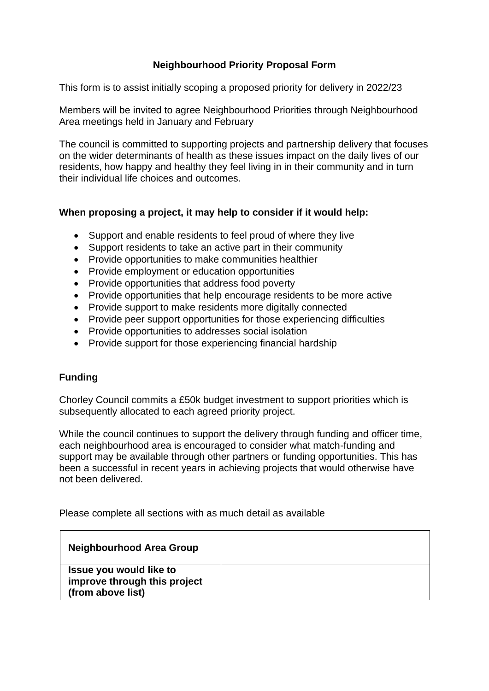## **Neighbourhood Priority Proposal Form**

This form is to assist initially scoping a proposed priority for delivery in 2022/23

Members will be invited to agree Neighbourhood Priorities through Neighbourhood Area meetings held in January and February

The council is committed to supporting projects and partnership delivery that focuses on the wider determinants of health as these issues impact on the daily lives of our residents, how happy and healthy they feel living in in their community and in turn their individual life choices and outcomes.

## **When proposing a project, it may help to consider if it would help:**

- Support and enable residents to feel proud of where they live
- Support residents to take an active part in their community
- Provide opportunities to make communities healthier
- Provide employment or education opportunities
- Provide opportunities that address food poverty
- Provide opportunities that help encourage residents to be more active
- Provide support to make residents more digitally connected
- Provide peer support opportunities for those experiencing difficulties
- Provide opportunities to addresses social isolation
- Provide support for those experiencing financial hardship

## **Funding**

Chorley Council commits a £50k budget investment to support priorities which is subsequently allocated to each agreed priority project.

While the council continues to support the delivery through funding and officer time, each neighbourhood area is encouraged to consider what match-funding and support may be available through other partners or funding opportunities. This has been a successful in recent years in achieving projects that would otherwise have not been delivered.

Please complete all sections with as much detail as available

| <b>Neighbourhood Area Group</b>                                              |  |
|------------------------------------------------------------------------------|--|
| Issue you would like to<br>improve through this project<br>(from above list) |  |